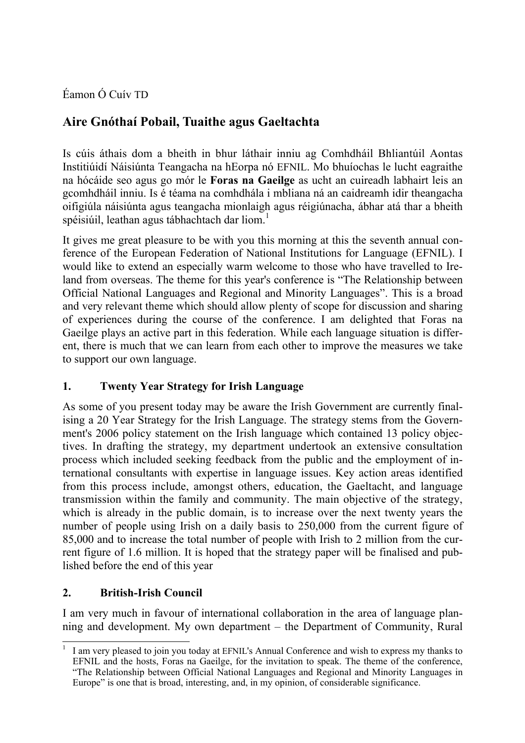Éamon Ó Cuív TD

# **Aire Gnóthaí Pobail, Tuaithe agus Gaeltachta**

Is cúis áthais dom a bheith in bhur láthair inniu ag Comhdháil Bhliantúil Aontas Institiúidí Náisiúnta Teangacha na hEorpa nó EFNIL. Mo bhuíochas le lucht eagraithe na hócáide seo agus go mór le **Foras na Gaeilge** as ucht an cuireadh labhairt leis an gcomhdháil inniu. Is é téama na comhdhála i mbliana ná an caidreamh idir theangacha oifigiúla náisiúnta agus teangacha mionlaigh agus réigiúnacha, ábhar atá thar a bheith spéisiúil, leathan agus tábhachtach dar liom.<sup>1</sup>

It gives me great pleasure to be with you this morning at this the seventh annual conference of the European Federation of National Institutions for Language (EFNIL). I would like to extend an especially warm welcome to those who have travelled to Ireland from overseas. The theme for this year's conference is "The Relationship between Official National Languages and Regional and Minority Languages". This is a broad and very relevant theme which should allow plenty of scope for discussion and sharing of experiences during the course of the conference. I am delighted that Foras na Gaeilge plays an active part in this federation. While each language situation is different, there is much that we can learn from each other to improve the measures we take to support our own language.

## **1. Twenty Year Strategy for Irish Language**

As some of you present today may be aware the Irish Government are currently finalising a 20 Year Strategy for the Irish Language. The strategy stems from the Government's 2006 policy statement on the Irish language which contained 13 policy objectives. In drafting the strategy, my department undertook an extensive consultation process which included seeking feedback from the public and the employment of international consultants with expertise in language issues. Key action areas identified from this process include, amongst others, education, the Gaeltacht, and language transmission within the family and community. The main objective of the strategy, which is already in the public domain, is to increase over the next twenty years the number of people using Irish on a daily basis to 250,000 from the current figure of 85,000 and to increase the total number of people with Irish to 2 million from the current figure of 1.6 million. It is hoped that the strategy paper will be finalised and published before the end of this year

## **2. British-Irish Council**

 $\overline{a}$ 

I am very much in favour of international collaboration in the area of language planning and development. My own department – the Department of Community, Rural

<sup>1</sup> I am very pleased to join you today at EFNIL's Annual Conference and wish to express my thanks to EFNIL and the hosts, Foras na Gaeilge, for the invitation to speak. The theme of the conference, "The Relationship between Official National Languages and Regional and Minority Languages in Europe" is one that is broad, interesting, and, in my opinion, of considerable significance.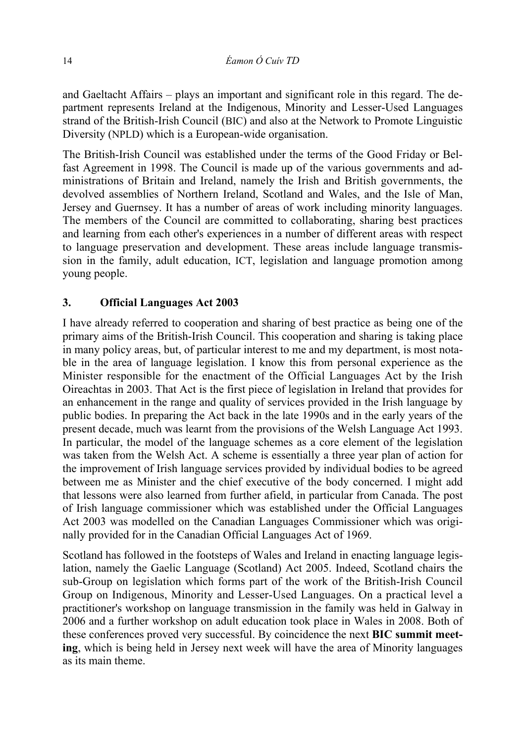and Gaeltacht Affairs – plays an important and significant role in this regard. The department represents Ireland at the Indigenous, Minority and Lesser-Used Languages strand of the British-Irish Council (BIC) and also at the Network to Promote Linguistic Diversity (NPLD) which is a European-wide organisation.

The British-Irish Council was established under the terms of the Good Friday or Belfast Agreement in 1998. The Council is made up of the various governments and administrations of Britain and Ireland, namely the Irish and British governments, the devolved assemblies of Northern Ireland, Scotland and Wales, and the Isle of Man, Jersey and Guernsey. It has a number of areas of work including minority languages. The members of the Council are committed to collaborating, sharing best practices and learning from each other's experiences in a number of different areas with respect to language preservation and development. These areas include language transmission in the family, adult education, ICT, legislation and language promotion among young people.

### **3. Official Languages Act 2003**

I have already referred to cooperation and sharing of best practice as being one of the primary aims of the British-Irish Council. This cooperation and sharing is taking place in many policy areas, but, of particular interest to me and my department, is most notable in the area of language legislation. I know this from personal experience as the Minister responsible for the enactment of the Official Languages Act by the Irish Oireachtas in 2003. That Act is the first piece of legislation in Ireland that provides for an enhancement in the range and quality of services provided in the Irish language by public bodies. In preparing the Act back in the late 1990s and in the early years of the present decade, much was learnt from the provisions of the Welsh Language Act 1993. In particular, the model of the language schemes as a core element of the legislation was taken from the Welsh Act. A scheme is essentially a three year plan of action for the improvement of Irish language services provided by individual bodies to be agreed between me as Minister and the chief executive of the body concerned. I might add that lessons were also learned from further afield, in particular from Canada. The post of Irish language commissioner which was established under the Official Languages Act 2003 was modelled on the Canadian Languages Commissioner which was originally provided for in the Canadian Official Languages Act of 1969.

Scotland has followed in the footsteps of Wales and Ireland in enacting language legislation, namely the Gaelic Language (Scotland) Act 2005. Indeed, Scotland chairs the sub-Group on legislation which forms part of the work of the British-Irish Council Group on Indigenous, Minority and Lesser-Used Languages. On a practical level a practitioner's workshop on language transmission in the family was held in Galway in 2006 and a further workshop on adult education took place in Wales in 2008. Both of these conferences proved very successful. By coincidence the next **BIC summit meeting**, which is being held in Jersey next week will have the area of Minority languages as its main theme.